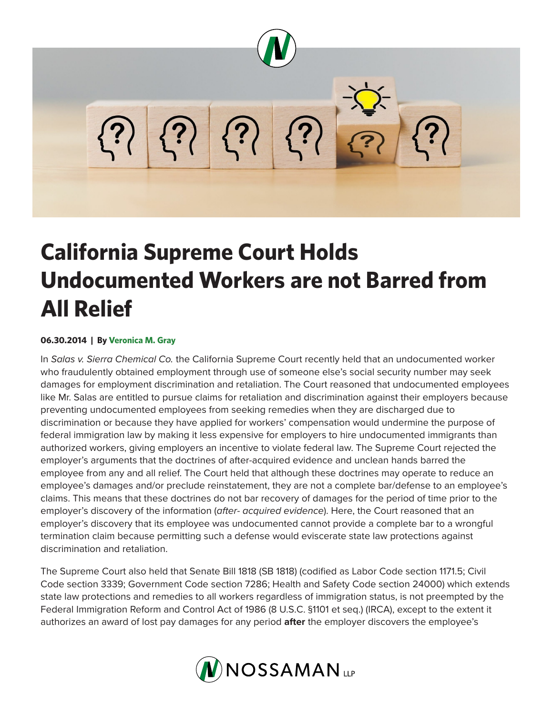

# **California Supreme Court Holds Undocumented Workers are not Barred from All Relief**

## **06.30.2014 | By Veronica M. Gray**

In *Salas v. Sierra Chemical Co.* the California Supreme Court recently held that an undocumented worker who fraudulently obtained employment through use of someone else's social security number may seek damages for employment discrimination and retaliation. The Court reasoned that undocumented employees like Mr. Salas are entitled to pursue claims for retaliation and discrimination against their employers because preventing undocumented employees from seeking remedies when they are discharged due to discrimination or because they have applied for workers' compensation would undermine the purpose of federal immigration law by making it less expensive for employers to hire undocumented immigrants than authorized workers, giving employers an incentive to violate federal law. The Supreme Court rejected the employer's arguments that the doctrines of after-acquired evidence and unclean hands barred the employee from any and all relief. The Court held that although these doctrines may operate to reduce an employee's damages and/or preclude reinstatement, they are not a complete bar/defense to an employee's claims. This means that these doctrines do not bar recovery of damages for the period of time prior to the employer's discovery of the information (*after- acquired evidence*). Here, the Court reasoned that an employer's discovery that its employee was undocumented cannot provide a complete bar to a wrongful termination claim because permitting such a defense would eviscerate state law protections against discrimination and retaliation.

The Supreme Court also held that Senate Bill 1818 (SB 1818) (codified as Labor Code section 1171.5; Civil Code section 3339; Government Code section 7286; Health and Safety Code section 24000) which extends state law protections and remedies to all workers regardless of immigration status, is not preempted by the Federal Immigration Reform and Control Act of 1986 (8 U.S.C. §1101 et seq.) (IRCA), except to the extent it authorizes an award of lost pay damages for any period **after** the employer discovers the employee's